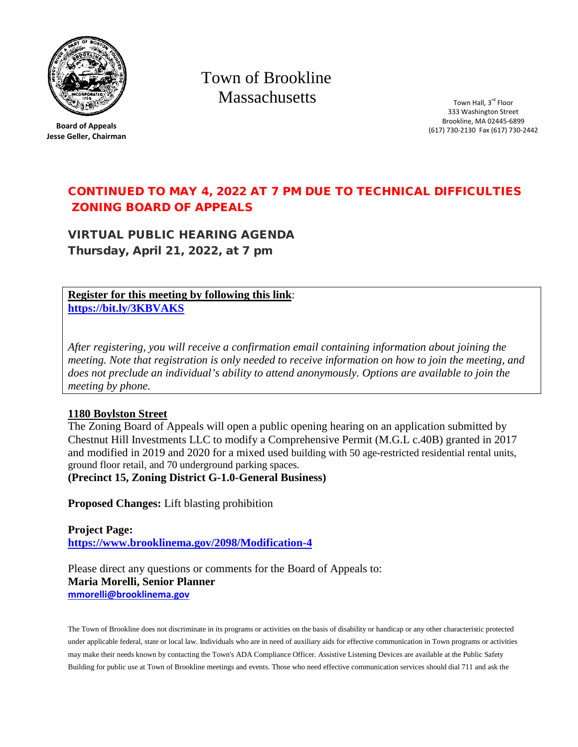

**Board of Appeals Jesse Geller, Chairman** Town of Brookline **Massachusetts** 

Town Hall, 3<sup>rd</sup> Floor 333 Washington Street Brookline, MA 02445-6899 (617) 730-2130 Fax (617) 730-2442

## CONTINUED TO MAY 4, 2022 AT 7 PM DUE TO TECHNICAL DIFFICULTIES ZONING BOARD OF APPEALS

VIRTUAL PUBLIC HEARING AGENDA Thursday, April 21, 2022, at 7 pm

**Register for this meeting by following this link**: **<https://bit.ly/3KBVAKS>**

*After registering, you will receive a confirmation email containing information about joining the meeting. Note that registration is only needed to receive information on how to join the meeting, and does not preclude an individual's ability to attend anonymously. Options are available to join the meeting by phone.*

## **1180 Boylston Street**

The Zoning Board of Appeals will open a public opening hearing on an application submitted by Chestnut Hill Investments LLC to modify a Comprehensive Permit (M.G.L c.40B) granted in 2017 and modified in 2019 and 2020 for a mixed used building with 50 age-restricted residential rental units, ground floor retail, and 70 underground parking spaces. **(Precinct 15, Zoning District G-1.0-General Business)**

**Proposed Changes:** Lift blasting prohibition

**Project Page: <https://www.brooklinema.gov/2098/Modification-4>**

Please direct any questions or comments for the Board of Appeals to: **Maria Morelli, Senior Planner mmorelli@brooklinema.gov**

The Town of Brookline does not discriminate in its programs or activities on the basis of disability or handicap or any other characteristic protected under applicable federal, state or local law. Individuals who are in need of auxiliary aids for effective communication in Town programs or activities may make their needs known by contacting the Town's ADA Compliance Officer. Assistive Listening Devices are available at the Public Safety Building for public use at Town of Brookline meetings and events. Those who need effective communication services should dial 711 and ask the